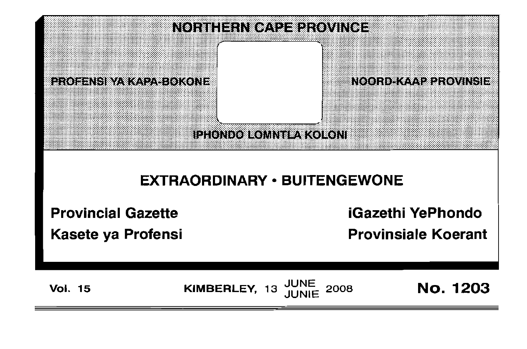